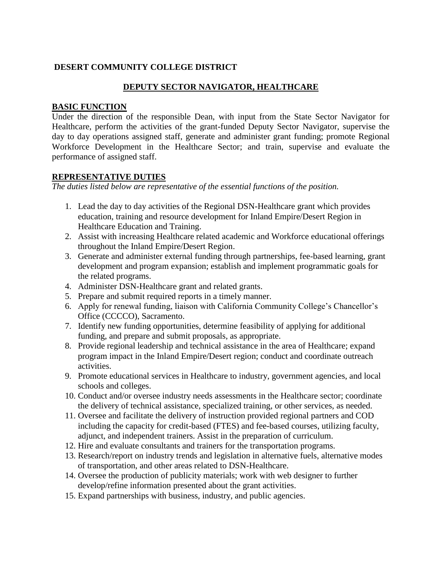## **DESERT COMMUNITY COLLEGE DISTRICT**

## **DEPUTY SECTOR NAVIGATOR, HEALTHCARE**

#### **BASIC FUNCTION**

Under the direction of the responsible Dean, with input from the State Sector Navigator for Healthcare, perform the activities of the grant-funded Deputy Sector Navigator, supervise the day to day operations assigned staff, generate and administer grant funding; promote Regional Workforce Development in the Healthcare Sector; and train, supervise and evaluate the performance of assigned staff.

## **REPRESENTATIVE DUTIES**

*The duties listed below are representative of the essential functions of the position.*

- 1. Lead the day to day activities of the Regional DSN-Healthcare grant which provides education, training and resource development for Inland Empire/Desert Region in Healthcare Education and Training.
- 2. Assist with increasing Healthcare related academic and Workforce educational offerings throughout the Inland Empire/Desert Region.
- 3. Generate and administer external funding through partnerships, fee-based learning, grant development and program expansion; establish and implement programmatic goals for the related programs.
- 4. Administer DSN-Healthcare grant and related grants.
- 5. Prepare and submit required reports in a timely manner.
- 6. Apply for renewal funding, liaison with California Community College's Chancellor's Office (CCCCO), Sacramento.
- 7. Identify new funding opportunities, determine feasibility of applying for additional funding, and prepare and submit proposals, as appropriate.
- 8. Provide regional leadership and technical assistance in the area of Healthcare; expand program impact in the Inland Empire/Desert region; conduct and coordinate outreach activities.
- 9. Promote educational services in Healthcare to industry, government agencies, and local schools and colleges.
- 10. Conduct and/or oversee industry needs assessments in the Healthcare sector; coordinate the delivery of technical assistance, specialized training, or other services, as needed.
- 11. Oversee and facilitate the delivery of instruction provided regional partners and COD including the capacity for credit-based (FTES) and fee-based courses, utilizing faculty, adjunct, and independent trainers. Assist in the preparation of curriculum.
- 12. Hire and evaluate consultants and trainers for the transportation programs.
- 13. Research/report on industry trends and legislation in alternative fuels, alternative modes of transportation, and other areas related to DSN-Healthcare.
- 14. Oversee the production of publicity materials; work with web designer to further develop/refine information presented about the grant activities.
- 15. Expand partnerships with business, industry, and public agencies.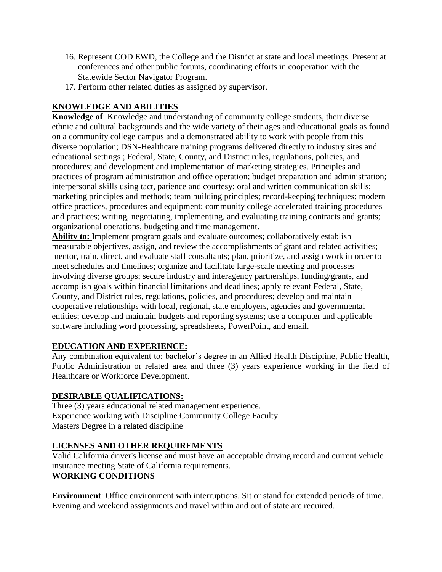- 16. Represent COD EWD, the College and the District at state and local meetings. Present at conferences and other public forums, coordinating efforts in cooperation with the Statewide Sector Navigator Program.
- 17. Perform other related duties as assigned by supervisor.

# **KNOWLEDGE AND ABILITIES**

**Knowledge of**: Knowledge and understanding of community college students, their diverse ethnic and cultural backgrounds and the wide variety of their ages and educational goals as found on a community college campus and a demonstrated ability to work with people from this diverse population; DSN-Healthcare training programs delivered directly to industry sites and educational settings ; Federal, State, County, and District rules, regulations, policies, and procedures; and development and implementation of marketing strategies. Principles and practices of program administration and office operation; budget preparation and administration; interpersonal skills using tact, patience and courtesy; oral and written communication skills; marketing principles and methods; team building principles; record-keeping techniques; modern office practices, procedures and equipment; community college accelerated training procedures and practices; writing, negotiating, implementing, and evaluating training contracts and grants; organizational operations, budgeting and time management.

**Ability to:** Implement program goals and evaluate outcomes; collaboratively establish measurable objectives, assign, and review the accomplishments of grant and related activities; mentor, train, direct, and evaluate staff consultants; plan, prioritize, and assign work in order to meet schedules and timelines; organize and facilitate large-scale meeting and processes involving diverse groups; secure industry and interagency partnerships, funding/grants, and accomplish goals within financial limitations and deadlines; apply relevant Federal, State, County, and District rules, regulations, policies, and procedures; develop and maintain cooperative relationships with local, regional, state employers, agencies and governmental entities; develop and maintain budgets and reporting systems; use a computer and applicable software including word processing, spreadsheets, PowerPoint, and email.

## **EDUCATION AND EXPERIENCE:**

Any combination equivalent to: bachelor's degree in an Allied Health Discipline, Public Health, Public Administration or related area and three (3) years experience working in the field of Healthcare or Workforce Development.

## **DESIRABLE QUALIFICATIONS:**

Three (3) years educational related management experience. Experience working with Discipline Community College Faculty Masters Degree in a related discipline

## **LICENSES AND OTHER REQUIREMENTS**

Valid California driver's license and must have an acceptable driving record and current vehicle insurance meeting State of California requirements.

## **WORKING CONDITIONS**

**Environment**: Office environment with interruptions. Sit or stand for extended periods of time. Evening and weekend assignments and travel within and out of state are required.